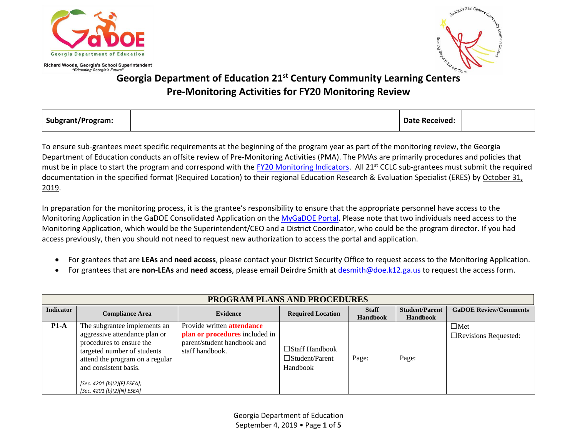

Richard Woods, Georgia's School Superintendent "Educating Georgia's Future



## **Georgia Department of Education 21st Century Community Learning Centers Pre-Monitoring Activities for FY20 Monitoring Review**

| c.<br><b>Subgrant/Program:</b> | Date Received: |  |
|--------------------------------|----------------|--|
|--------------------------------|----------------|--|

To ensure sub-grantees meet specific requirements at the beginning of the program year as part of the monitoring review, the Georgia Department of Education conducts an offsite review of Pre-Monitoring Activities (PMA). The PMAs are primarily procedures and policies that must be in place to start the program and correspond with the FY20 [Monitoring Indicators.](https://www.gadoe.org/School-Improvement/Federal-Programs/Pages/21st-CCLC-Monitoring.aspx) All 21<sup>st</sup> CCLC sub-grantees must submit the required documentation in the specified format (Required Location) to their regional Education Research & Evaluation Specialist (ERES) by October 31, 2019.

In preparation for the monitoring process, it is the grantee's responsibility to ensure that the appropriate personnel have access to the Monitoring Application in the GaDOE Consolidated Application on the [MyGaDOE Portal.](https://portal.doe.k12.ga.us/Login.aspx) Please note that two individuals need access to the Monitoring Application, which would be the Superintendent/CEO and a District Coordinator, who could be the program director. If you had access previously, then you should not need to request new authorization to access the portal and application.

- For grantees that are **LEAs** and **need access**, please contact your District Security Office to request access to the Monitoring Application.
- For grantees that are **non-LEAs** and **need access**, please email Deirdre Smith at [desmith@doe.k12.ga.us](mailto:desmith@doe.k12.ga.us) to request the access form.

|                  | <b>PROGRAM PLANS AND PROCEDURES</b>                                                                                                                                                                                                               |                                                                                                                       |                                                            |                                 |                                          |                                              |  |  |
|------------------|---------------------------------------------------------------------------------------------------------------------------------------------------------------------------------------------------------------------------------------------------|-----------------------------------------------------------------------------------------------------------------------|------------------------------------------------------------|---------------------------------|------------------------------------------|----------------------------------------------|--|--|
| <b>Indicator</b> | <b>Compliance Area</b>                                                                                                                                                                                                                            | <b>Evidence</b>                                                                                                       | <b>Required Location</b>                                   | <b>Staff</b><br><b>Handbook</b> | <b>Student/Parent</b><br><b>Handbook</b> | <b>GaDOE Review/Comments</b>                 |  |  |
| $P1-A$           | The subgrantee implements an<br>aggressive attendance plan or<br>procedures to ensure the<br>targeted number of students<br>attend the program on a regular<br>and consistent basis.<br>[Sec. 4201 (b)(2)(F) ESEA];<br>[Sec. 4201 (b)(2)(N) ESEA] | Provide written <b>attendance</b><br>plan or procedures included in<br>parent/student handbook and<br>staff handbook. | $\Box$ Staff Handbook<br>$\Box$ Student/Parent<br>Handbook | Page:                           | Page:                                    | $\square$ Met<br>$\Box$ Revisions Requested: |  |  |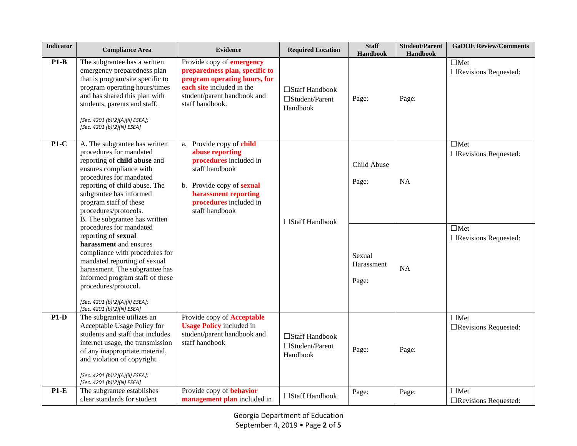| <b>Indicator</b> | <b>Compliance Area</b>                                                                                                                                                                                                                                                                                   | <b>Evidence</b>                                                                                                                                                                                    | <b>Required Location</b>                                 | <b>Staff</b><br><b>Handbook</b> | <b>Student/Parent</b><br>Handbook | <b>GaDOE Review/Comments</b>                 |
|------------------|----------------------------------------------------------------------------------------------------------------------------------------------------------------------------------------------------------------------------------------------------------------------------------------------------------|----------------------------------------------------------------------------------------------------------------------------------------------------------------------------------------------------|----------------------------------------------------------|---------------------------------|-----------------------------------|----------------------------------------------|
| $P1-B$           | The subgrantee has a written<br>emergency preparedness plan<br>that is program/site specific to<br>program operating hours/times<br>and has shared this plan with<br>students, parents and staff.<br>[Sec. 4201 (b)(2)(A)(ii) ESEA];<br>[Sec. 4201 (b)(2)(N) ESEA]                                       | Provide copy of <b>emergency</b><br>preparedness plan, specific to<br>program operating hours, for<br>each site included in the<br>student/parent handbook and<br>staff handbook.                  | $\Box$ Staff Handbook<br>□Student/Parent<br>Handbook     | Page:                           | Page:                             | $\square$ Met<br>□Revisions Requested:       |
| $P1-C$           | A. The subgrantee has written<br>procedures for mandated<br>reporting of child abuse and<br>ensures compliance with<br>procedures for mandated<br>reporting of child abuse. The<br>subgrantee has informed<br>program staff of these<br>procedures/protocols.<br>B. The subgrantee has written           | Provide copy of child<br>a.<br>abuse reporting<br>procedures included in<br>staff handbook<br>b. Provide copy of <b>sexual</b><br>harassment reporting<br>procedures included in<br>staff handbook | □ Staff Handbook                                         | Child Abuse<br>Page:            | <b>NA</b>                         | $\Box$ Met<br>□Revisions Requested:          |
|                  | procedures for mandated<br>reporting of sexual<br>harassment and ensures<br>compliance with procedures for<br>mandated reporting of sexual<br>harassment. The subgrantee has<br>informed program staff of these<br>procedures/protocol.<br>[Sec. 4201 (b)(2)(A)(ii) ESEA];<br>[Sec. 4201 (b)(2)(N) ESEA] |                                                                                                                                                                                                    |                                                          | Sexual<br>Harassment<br>Page:   | NA                                | $\Box$ Met<br>□Revisions Requested:          |
| $P1-D$           | The subgrantee utilizes an<br>Acceptable Usage Policy for<br>students and staff that includes<br>internet usage, the transmission<br>of any inappropriate material,<br>and violation of copyright.<br>[Sec. 4201 (b)(2)(A)(ii) ESEA];<br>[Sec. 4201 (b)(2)(N) ESEA]                                      | Provide copy of <b>Acceptable</b><br><b>Usage Policy included in</b><br>student/parent handbook and<br>staff handbook                                                                              | □ Staff Handbook<br>$\square$ Student/Parent<br>Handbook | Page:                           | Page:                             | $\square$ Met<br>$\Box$ Revisions Requested: |
| $P1-E$           | The subgrantee establishes<br>clear standards for student                                                                                                                                                                                                                                                | Provide copy of <b>behavior</b><br>management plan included in                                                                                                                                     | □ Staff Handbook                                         | Page:                           | Page:                             | $\square$ Met<br>$\Box$ Revisions Requested: |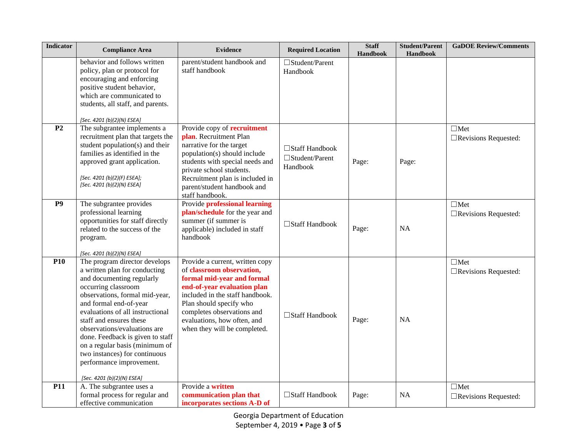| <b>Indicator</b> | <b>Compliance Area</b>                                                                                                                                                                                                                                                                                                                                                                                                                         | <b>Evidence</b>                                                                                                                                                                                                                                                                      | <b>Required Location</b>                       | <b>Staff</b><br><b>Handbook</b> | <b>Student/Parent</b><br>Handbook | <b>GaDOE Review/Comments</b>              |
|------------------|------------------------------------------------------------------------------------------------------------------------------------------------------------------------------------------------------------------------------------------------------------------------------------------------------------------------------------------------------------------------------------------------------------------------------------------------|--------------------------------------------------------------------------------------------------------------------------------------------------------------------------------------------------------------------------------------------------------------------------------------|------------------------------------------------|---------------------------------|-----------------------------------|-------------------------------------------|
|                  | behavior and follows written<br>policy, plan or protocol for<br>encouraging and enforcing<br>positive student behavior,<br>which are communicated to<br>students, all staff, and parents.<br>[Sec. 4201 (b)(2)(N) ESEA]                                                                                                                                                                                                                        | parent/student handbook and<br>staff handbook                                                                                                                                                                                                                                        | □Student/Parent<br>Handbook                    |                                 |                                   |                                           |
| P <sub>2</sub>   | The subgrantee implements a<br>recruitment plan that targets the<br>student population(s) and their<br>families as identified in the<br>approved grant application.<br>[Sec. 4201 (b)(2)(F) ESEA];<br>[Sec. 4201 (b)(2)(N) ESEA]                                                                                                                                                                                                               | Provide copy of <b>recruitment</b><br>plan. Recruitment Plan<br>narrative for the target<br>population(s) should include<br>students with special needs and<br>private school students.<br>Recruitment plan is included in<br>parent/student handbook and<br>staff handbook.         | □Staff Handbook<br>□Student/Parent<br>Handbook | Page:                           | Page:                             | $\Box$ Met<br>□Revisions Requested:       |
| <b>P9</b>        | The subgrantee provides<br>professional learning<br>opportunities for staff directly<br>related to the success of the<br>program.<br>[Sec. 4201 (b)(2)(N) ESEA]                                                                                                                                                                                                                                                                                | Provide professional learning<br>plan/schedule for the year and<br>summer (if summer is<br>applicable) included in staff<br>handbook                                                                                                                                                 | □Staff Handbook                                | Page:                           | <b>NA</b>                         | $\Box$ Met<br>$\Box$ Revisions Requested: |
| <b>P10</b>       | The program director develops<br>a written plan for conducting<br>and documenting regularly<br>occurring classroom<br>observations, formal mid-year,<br>and formal end-of-year<br>evaluations of all instructional<br>staff and ensures these<br>observations/evaluations are<br>done. Feedback is given to staff<br>on a regular basis (minimum of<br>two instances) for continuous<br>performance improvement.<br>[Sec. 4201 (b)(2)(N) ESEA] | Provide a current, written copy<br>of classroom observation,<br>formal mid-year and formal<br>end-of-year evaluation plan<br>included in the staff handbook.<br>Plan should specify who<br>completes observations and<br>evaluations, how often, and<br>when they will be completed. | $\Box$ Staff Handbook                          | Page:                           | NA                                | $\Box$ Met<br>$\Box$ Revisions Requested: |
| <b>P11</b>       | A. The subgrantee uses a<br>formal process for regular and<br>effective communication                                                                                                                                                                                                                                                                                                                                                          | Provide a written<br>communication plan that<br>incorporates sections A-D of                                                                                                                                                                                                         | □Staff Handbook                                | Page:                           | NA                                | $\Box$ Met<br>$\Box$ Revisions Requested: |

Georgia Department of Education September 4, 2019 • Page **3** of **5**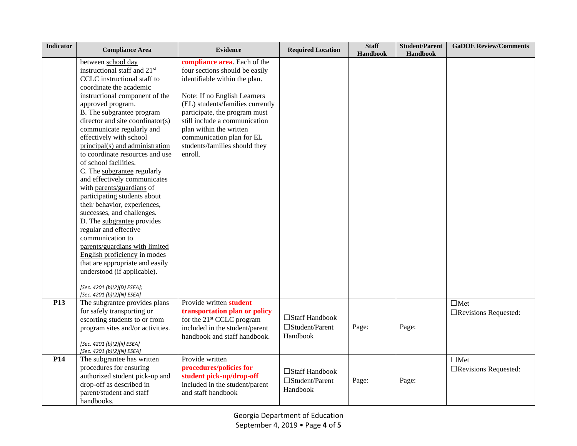| <b>Indicator</b> | <b>Compliance Area</b>                                                                                                                                                                                                                                                                                                                                                                                                                                                                                                                                                                                                                                                                                                                                                                                                                                                        | <b>Evidence</b>                                                                                                                                                                                                                                                                                                                           | <b>Required Location</b>                                      | <b>Staff</b><br><b>Handbook</b> | <b>Student/Parent</b><br><b>Handbook</b> | <b>GaDOE Review/Comments</b>        |
|------------------|-------------------------------------------------------------------------------------------------------------------------------------------------------------------------------------------------------------------------------------------------------------------------------------------------------------------------------------------------------------------------------------------------------------------------------------------------------------------------------------------------------------------------------------------------------------------------------------------------------------------------------------------------------------------------------------------------------------------------------------------------------------------------------------------------------------------------------------------------------------------------------|-------------------------------------------------------------------------------------------------------------------------------------------------------------------------------------------------------------------------------------------------------------------------------------------------------------------------------------------|---------------------------------------------------------------|---------------------------------|------------------------------------------|-------------------------------------|
|                  | between school day<br>instructional staff and 21 <sup>st</sup><br>CCLC instructional staff to<br>coordinate the academic<br>instructional component of the<br>approved program.<br>B. The subgrantee program<br>director and site coordinator(s)<br>communicate regularly and<br>effectively with school<br>principal(s) and administration<br>to coordinate resources and use<br>of school facilities.<br>C. The subgrantee regularly<br>and effectively communicates<br>with parents/guardians of<br>participating students about<br>their behavior, experiences,<br>successes, and challenges.<br>D. The subgrantee provides<br>regular and effective<br>communication to<br>parents/guardians with limited<br>English proficiency in modes<br>that are appropriate and easily<br>understood (if applicable).<br>[Sec. 4201 (b)(2)(D) ESEA];<br>[Sec. 4201 (b)(2)(N) ESEA] | compliance area. Each of the<br>four sections should be easily<br>identifiable within the plan.<br>Note: If no English Learners<br>(EL) students/families currently<br>participate, the program must<br>still include a communication<br>plan within the written<br>communication plan for EL<br>students/families should they<br>enroll. |                                                               |                                 |                                          |                                     |
| P <sub>13</sub>  | The subgrantee provides plans<br>for safely transporting or<br>escorting students to or from<br>program sites and/or activities.<br>[Sec. 4201 (b)(2)(ii) ESEA]<br>[Sec. 4201 (b)(2)(N) ESEA]                                                                                                                                                                                                                                                                                                                                                                                                                                                                                                                                                                                                                                                                                 | Provide written student<br>transportation plan or policy<br>for the 21 <sup>st</sup> CCLC program<br>included in the student/parent<br>handbook and staff handbook.                                                                                                                                                                       | □ Staff Handbook<br>$\Box$ Student/Parent<br>Handbook         | Page:                           | Page:                                    | $\Box$ Met<br>□Revisions Requested: |
| P <sub>14</sub>  | The subgrantee has written<br>procedures for ensuring<br>authorized student pick-up and<br>drop-off as described in<br>parent/student and staff<br>handbooks.                                                                                                                                                                                                                                                                                                                                                                                                                                                                                                                                                                                                                                                                                                                 | Provide written<br>procedures/policies for<br>student pick-up/drop-off<br>included in the student/parent<br>and staff handbook                                                                                                                                                                                                            | $\Box$ Staff Handbook<br>$\square$ Student/Parent<br>Handbook | Page:                           | Page:                                    | $\Box$ Met<br>□Revisions Requested: |